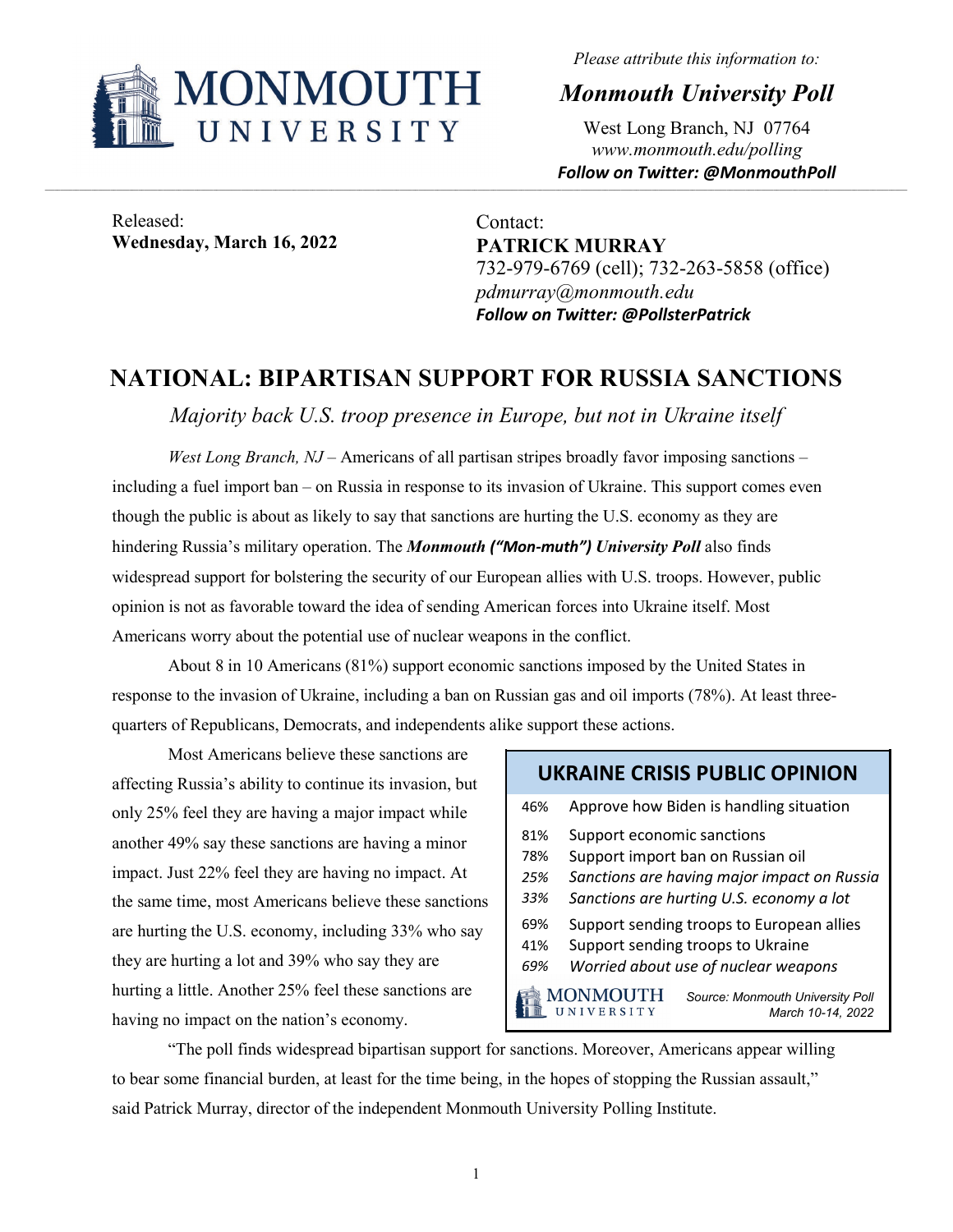

*Please attribute this information to:*

*Monmouth University Poll*

West Long Branch, NJ 07764 *www.monmouth.edu/polling Follow on Twitter: @MonmouthPoll*

Released: **Wednesday, March 16, 2022**

Contact: **PATRICK MURRAY** 732-979-6769 (cell); 732-263-5858 (office) *pdmurray@monmouth.edu Follow on Twitter: @PollsterPatrick*

## **NATIONAL: BIPARTISAN SUPPORT FOR RUSSIA SANCTIONS**

*Majority back U.S. troop presence in Europe, but not in Ukraine itself*

*West Long Branch, NJ* – Americans of all partisan stripes broadly favor imposing sanctions – including a fuel import ban – on Russia in response to its invasion of Ukraine. This support comes even though the public is about as likely to say that sanctions are hurting the U.S. economy as they are hindering Russia's military operation. The *Monmouth ("Mon-muth") University Poll* also finds widespread support for bolstering the security of our European allies with U.S. troops. However, public opinion is not as favorable toward the idea of sending American forces into Ukraine itself. Most Americans worry about the potential use of nuclear weapons in the conflict.

About 8 in 10 Americans (81%) support economic sanctions imposed by the United States in response to the invasion of Ukraine, including a ban on Russian gas and oil imports (78%). At least threequarters of Republicans, Democrats, and independents alike support these actions.

Most Americans believe these sanctions are affecting Russia's ability to continue its invasion, but only 25% feel they are having a major impact while another 49% say these sanctions are having a minor impact. Just 22% feel they are having no impact. At the same time, most Americans believe these sanctions are hurting the U.S. economy, including 33% who say they are hurting a lot and 39% who say they are hurting a little. Another 25% feel these sanctions are having no impact on the nation's economy.

## **UKRAINE CRISIS PUBLIC OPINION**

| 46% |                               | Approve how Biden is handling situation               |
|-----|-------------------------------|-------------------------------------------------------|
| 81% | Support economic sanctions    |                                                       |
| 78% |                               | Support import ban on Russian oil                     |
| 25% |                               | Sanctions are having major impact on Russia           |
| 33% |                               | Sanctions are hurting U.S. economy a lot              |
| 69% |                               | Support sending troops to European allies             |
| 41% |                               | Support sending troops to Ukraine                     |
| 69% |                               | Worried about use of nuclear weapons                  |
|     | <b>MONMOUTH</b><br>UNIVERSITY | Source: Monmouth University Poll<br>March 10-14, 2022 |
|     |                               |                                                       |

"The poll finds widespread bipartisan support for sanctions. Moreover, Americans appear willing to bear some financial burden, at least for the time being, in the hopes of stopping the Russian assault," said Patrick Murray, director of the independent Monmouth University Polling Institute.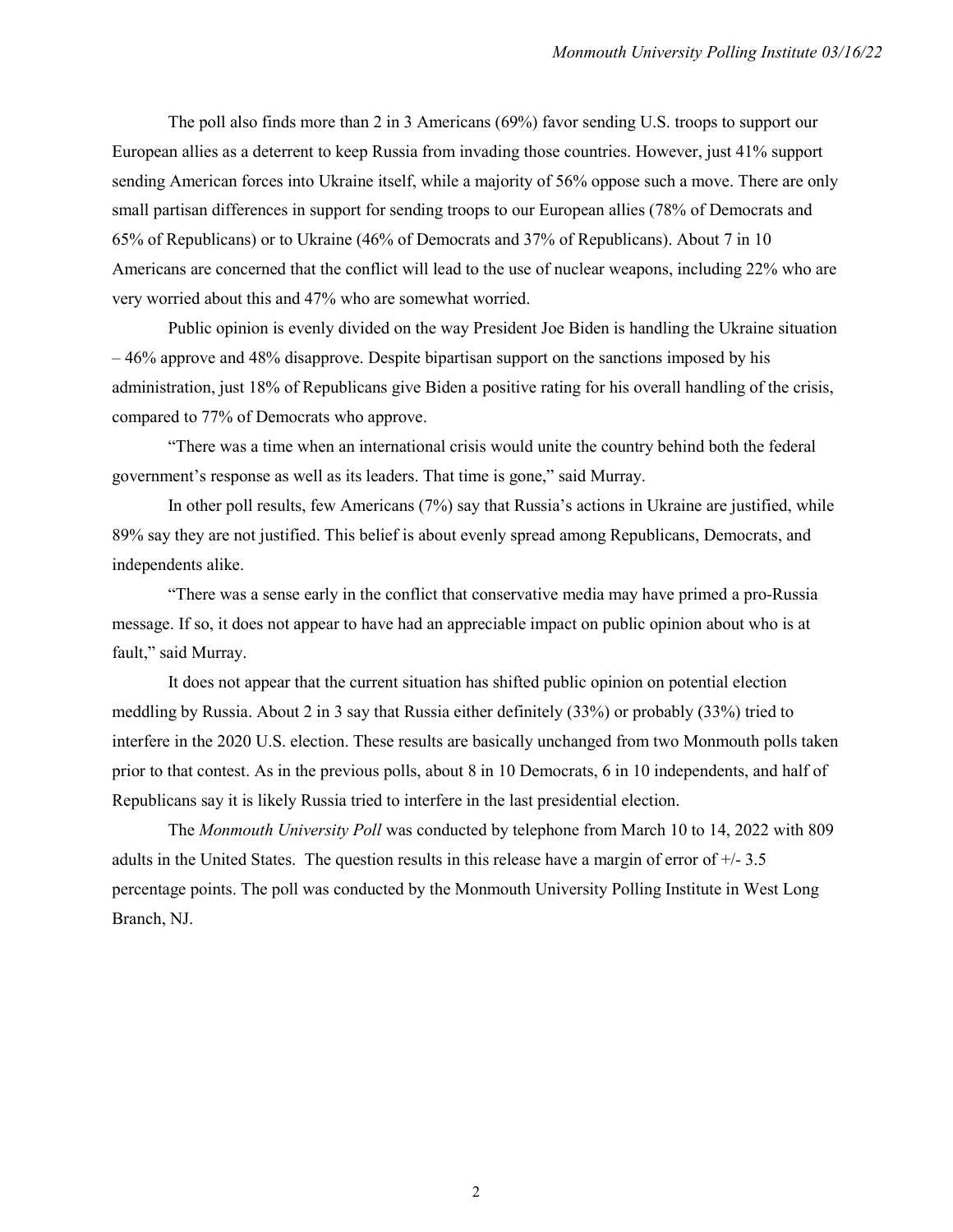The poll also finds more than 2 in 3 Americans (69%) favor sending U.S. troops to support our European allies as a deterrent to keep Russia from invading those countries. However, just 41% support sending American forces into Ukraine itself, while a majority of 56% oppose such a move. There are only small partisan differences in support for sending troops to our European allies (78% of Democrats and 65% of Republicans) or to Ukraine (46% of Democrats and 37% of Republicans). About 7 in 10 Americans are concerned that the conflict will lead to the use of nuclear weapons, including 22% who are very worried about this and 47% who are somewhat worried.

Public opinion is evenly divided on the way President Joe Biden is handling the Ukraine situation – 46% approve and 48% disapprove. Despite bipartisan support on the sanctions imposed by his administration, just 18% of Republicans give Biden a positive rating for his overall handling of the crisis, compared to 77% of Democrats who approve.

"There was a time when an international crisis would unite the country behind both the federal government's response as well as its leaders. That time is gone," said Murray.

In other poll results, few Americans (7%) say that Russia's actions in Ukraine are justified, while 89% say they are not justified. This belief is about evenly spread among Republicans, Democrats, and independents alike.

"There was a sense early in the conflict that conservative media may have primed a pro-Russia message. If so, it does not appear to have had an appreciable impact on public opinion about who is at fault," said Murray.

It does not appear that the current situation has shifted public opinion on potential election meddling by Russia. About 2 in 3 say that Russia either definitely (33%) or probably (33%) tried to interfere in the 2020 U.S. election. These results are basically unchanged from two Monmouth polls taken prior to that contest. As in the previous polls, about 8 in 10 Democrats, 6 in 10 independents, and half of Republicans say it is likely Russia tried to interfere in the last presidential election.

The *Monmouth University Poll* was conducted by telephone from March 10 to 14, 2022 with 809 adults in the United States. The question results in this release have a margin of error of +/- 3.5 percentage points. The poll was conducted by the Monmouth University Polling Institute in West Long Branch, NJ.

2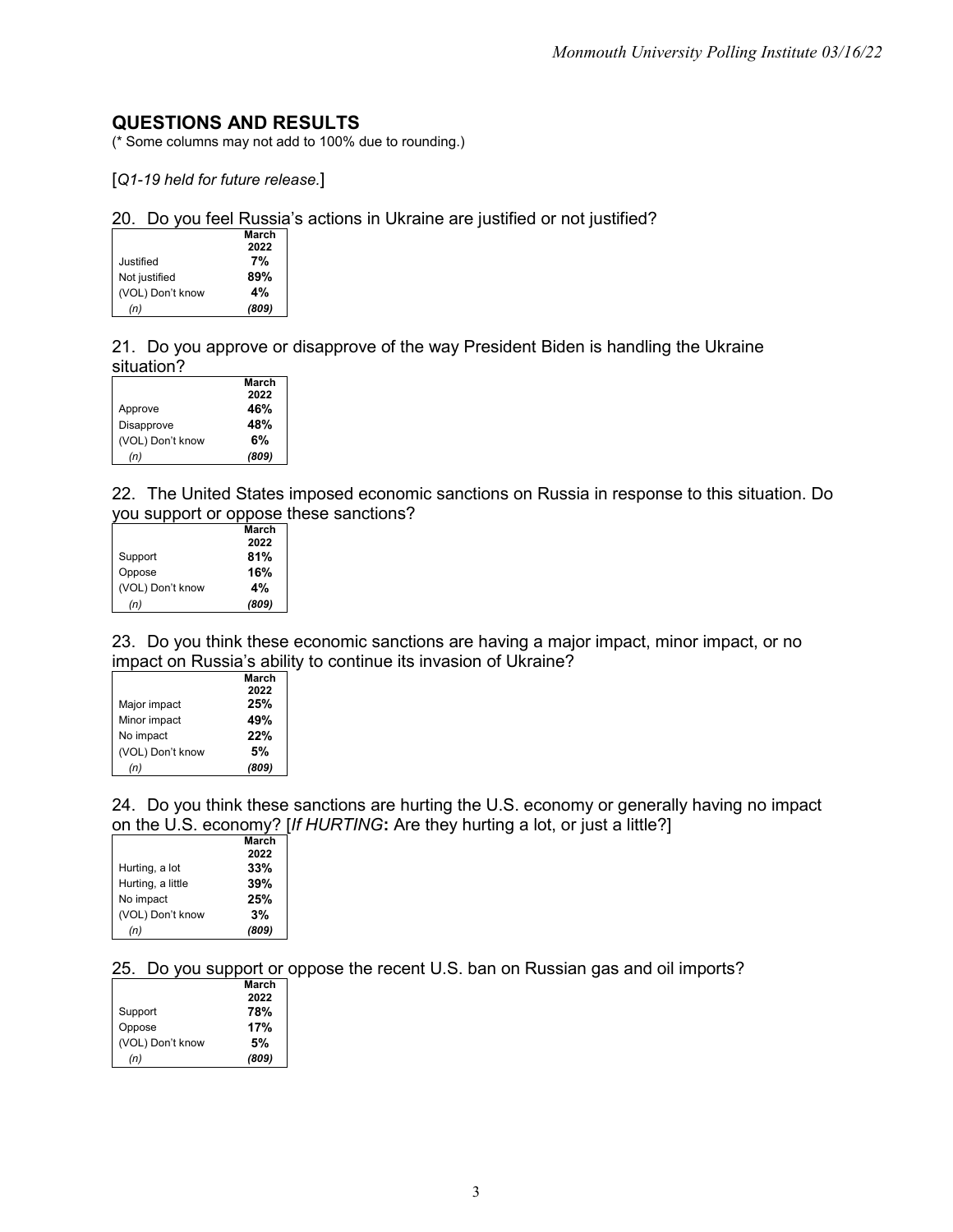## **QUESTIONS AND RESULTS**

(\* Some columns may not add to 100% due to rounding.)

[*Q1-19 held for future release.*]

20. Do you feel Russia's actions in Ukraine are justified or not justified?

|                  | March |
|------------------|-------|
|                  | 2022  |
| Justified        | 7%    |
| Not justified    | 89%   |
| (VOL) Don't know | 4%    |
| (n)              | (809) |

21. Do you approve or disapprove of the way President Biden is handling the Ukraine situation?

|                  | March |
|------------------|-------|
|                  | 2022  |
| Approve          | 46%   |
| Disapprove       | 48%   |
| (VOL) Don't know | 6%    |
| (n)              | (809) |

22. The United States imposed economic sanctions on Russia in response to this situation. Do you support or oppose these sanctions?

|                  | March |
|------------------|-------|
|                  | 2022  |
| Support          | 81%   |
| Oppose           | 16%   |
| (VOL) Don't know | 4%    |
| (n)              | (809) |

23. Do you think these economic sanctions are having a major impact, minor impact, or no impact on Russia's ability to continue its invasion of Ukraine?

|                  | March |
|------------------|-------|
|                  | 2022  |
| Major impact     | 25%   |
| Minor impact     | 49%   |
| No impact        | 22%   |
| (VOL) Don't know | 5%    |
| (n)              | (809) |

24. Do you think these sanctions are hurting the U.S. economy or generally having no impact on the U.S. economy? [*If HURTING***:** Are they hurting a lot, or just a little?]

|                   | March |
|-------------------|-------|
|                   | 2022  |
| Hurting, a lot    | 33%   |
| Hurting, a little | 39%   |
| No impact         | 25%   |
| (VOL) Don't know  | 3%    |
| (n)               | (809) |

25. Do you support or oppose the recent U.S. ban on Russian gas and oil imports?

|                  | March |
|------------------|-------|
|                  | 2022  |
| Support          | 78%   |
| Oppose           | 17%   |
| (VOL) Don't know | 5%    |
| (n)              | (809) |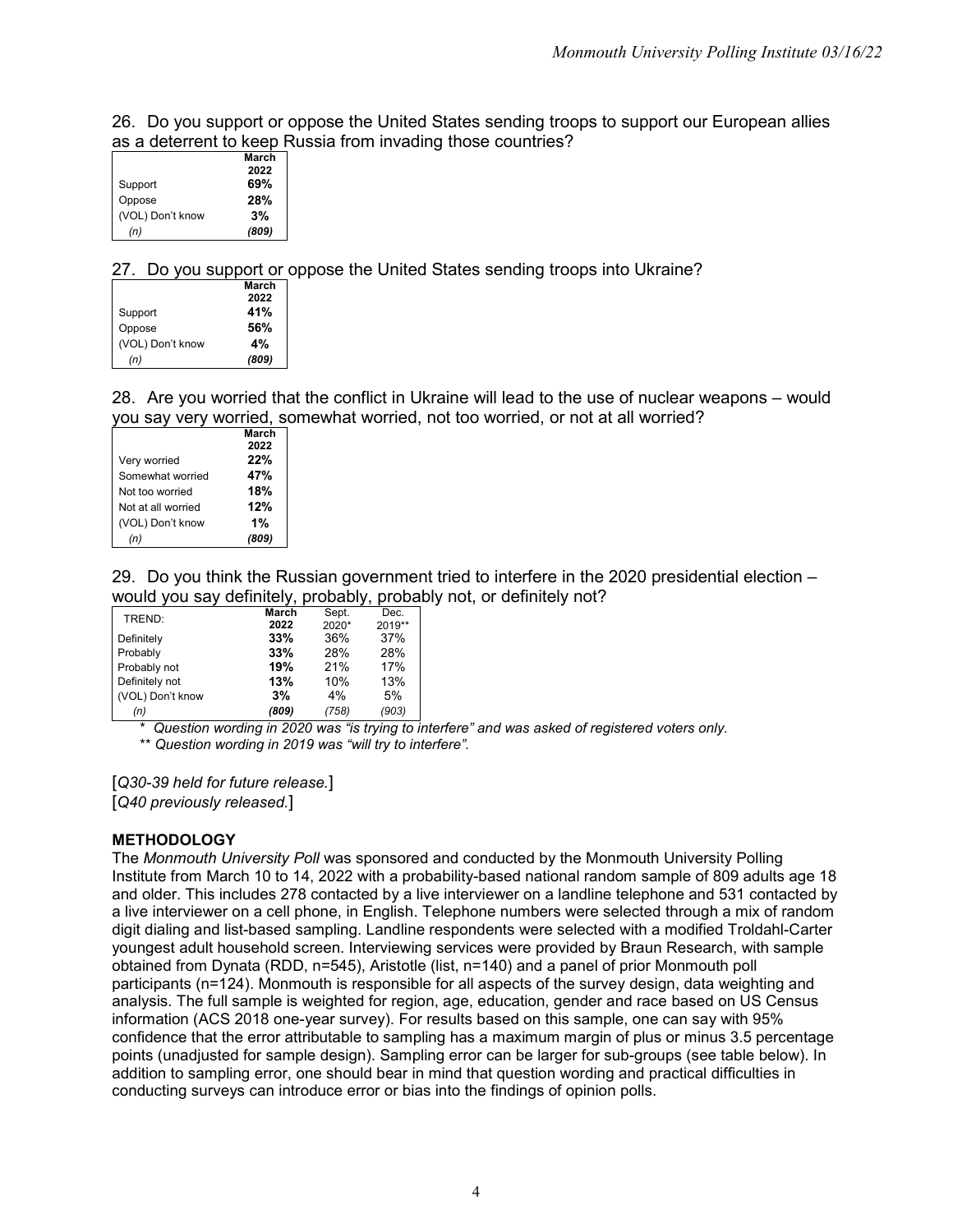26. Do you support or oppose the United States sending troops to support our European allies as a deterrent to keep Russia from invading those countries?

| March<br>2022 |
|---------------|
|               |
|               |
| 69%           |
| 28%           |
| 3%            |
| (809)         |
|               |

27. Do you support or oppose the United States sending troops into Ukraine?

|                  | March |
|------------------|-------|
|                  | 2022  |
| Support          | 41%   |
| Oppose           | 56%   |
| (VOL) Don't know | 4%    |
| (n)              | (809) |

28. Are you worried that the conflict in Ukraine will lead to the use of nuclear weapons – would you say very worried, somewhat worried, not too worried, or not at all worried?

|                    | March |
|--------------------|-------|
|                    | 2022  |
| Very worried       | 22%   |
| Somewhat worried   | 47%   |
| Not too worried    | 18%   |
| Not at all worried | 12%   |
| (VOL) Don't know   | 1%    |
| (n)                | (809) |

29. Do you think the Russian government tried to interfere in the 2020 presidential election – would you say definitely, probably, probably not, or definitely not?

| TREND:           | March | Sept. | Dec.   |
|------------------|-------|-------|--------|
|                  | 2022  | 2020* | 2019** |
| Definitely       | 33%   | 36%   | 37%    |
| Probably         | 33%   | 28%   | 28%    |
| Probably not     | 19%   | 21%   | 17%    |
| Definitely not   | 13%   | 10%   | 13%    |
| (VOL) Don't know | 3%    | 4%    | 5%     |
| (n)              | (809) | (758) | (903)  |

\* *Question wording in 2020 was "is trying to interfere" and was asked of registered voters only.* \*\* *Question wording in 2019 was "will try to interfere".*

[*Q30-39 held for future release.*] [*Q40 previously released.*]

## **METHODOLOGY**

The *Monmouth University Poll* was sponsored and conducted by the Monmouth University Polling Institute from March 10 to 14, 2022 with a probability-based national random sample of 809 adults age 18 and older. This includes 278 contacted by a live interviewer on a landline telephone and 531 contacted by a live interviewer on a cell phone, in English. Telephone numbers were selected through a mix of random digit dialing and list-based sampling. Landline respondents were selected with a modified Troldahl-Carter youngest adult household screen. Interviewing services were provided by Braun Research, with sample obtained from Dynata (RDD, n=545), Aristotle (list, n=140) and a panel of prior Monmouth poll participants (n=124). Monmouth is responsible for all aspects of the survey design, data weighting and analysis. The full sample is weighted for region, age, education, gender and race based on US Census information (ACS 2018 one-year survey). For results based on this sample, one can say with 95% confidence that the error attributable to sampling has a maximum margin of plus or minus 3.5 percentage points (unadjusted for sample design). Sampling error can be larger for sub-groups (see table below). In addition to sampling error, one should bear in mind that question wording and practical difficulties in conducting surveys can introduce error or bias into the findings of opinion polls.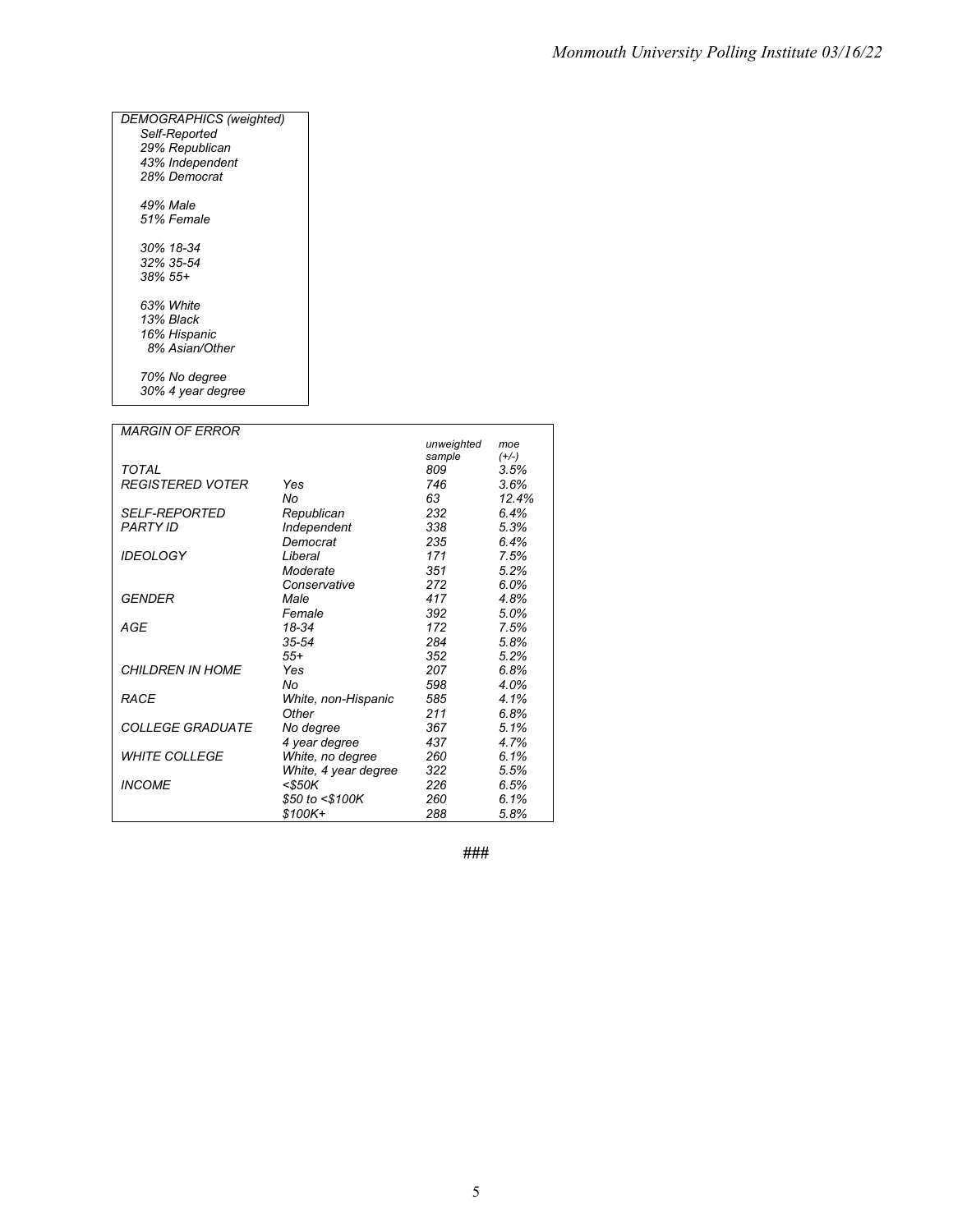| DEMOGRAPHICS (weighted) |  |
|-------------------------|--|
| Self-Reported           |  |
| 29% Republican          |  |
| 43% Independent         |  |
| 28% Democrat            |  |
| 49% Male                |  |
| 51% Female              |  |
| 30% 18-34               |  |
| 32% 35-54               |  |
| $.38\%$ 55+             |  |
| 63% White               |  |
| 13% Black               |  |
| 16% Hispanic            |  |
| 8% Asian/Other          |  |
| 70% No degree           |  |
| 30% 4 year degree       |  |

| <b>MARGIN OF ERROR</b>         |                      |            |         |
|--------------------------------|----------------------|------------|---------|
|                                |                      | unweighted | moe     |
|                                |                      | sample     | $(+/-)$ |
| TOTAL                          |                      | 809        | 3.5%    |
| <b>REGISTERED VOTER</b>        | Yes                  | 746        | 3.6%    |
|                                | No                   | 63         | 12.4%   |
| <b>SELF-REPORTED</b>           | Republican           | 232        | 6.4%    |
| <b>PARTY ID</b>                | Independent          | 338        | 5.3%    |
|                                | Democrat             | 235        | 6.4%    |
| <b>IDEOLOGY</b>                | Liberal              | 171        | 7.5%    |
|                                | Moderate             | 351        | 5.2%    |
|                                | Conservative         | 272        | 6.0%    |
| GENDER                         | Male                 | 417        | 4.8%    |
|                                | Female               | 392        | 5.0%    |
| <b>AGE</b>                     | 18-34                | 172        | 7.5%    |
|                                | $35 - 54$            | 284        | 5.8%    |
|                                | $55+$                | 352        | 5.2%    |
| <b>CHILDREN IN HOME</b>        | Yes                  | 207        | 6.8%    |
|                                | No                   | 598        | 4.0%    |
| <b>RACE</b>                    | White, non-Hispanic  | 585        | 4.1%    |
|                                | Other                | 211        | 6.8%    |
| <i><b>COLLEGE GRADUATE</b></i> | No degree            | 367        | 5.1%    |
|                                | 4 year degree        | 437        | 4.7%    |
| <b>WHITE COLLEGE</b>           | White, no degree     | 260        | 6.1%    |
|                                | White, 4 year degree | 322        | 5.5%    |
| <b>INCOME</b>                  | <\$50K               | 226        | 6.5%    |
|                                | \$50 to <\$100K      | 260        | 6.1%    |
|                                | \$100K+              | 288        | 5.8%    |

**###**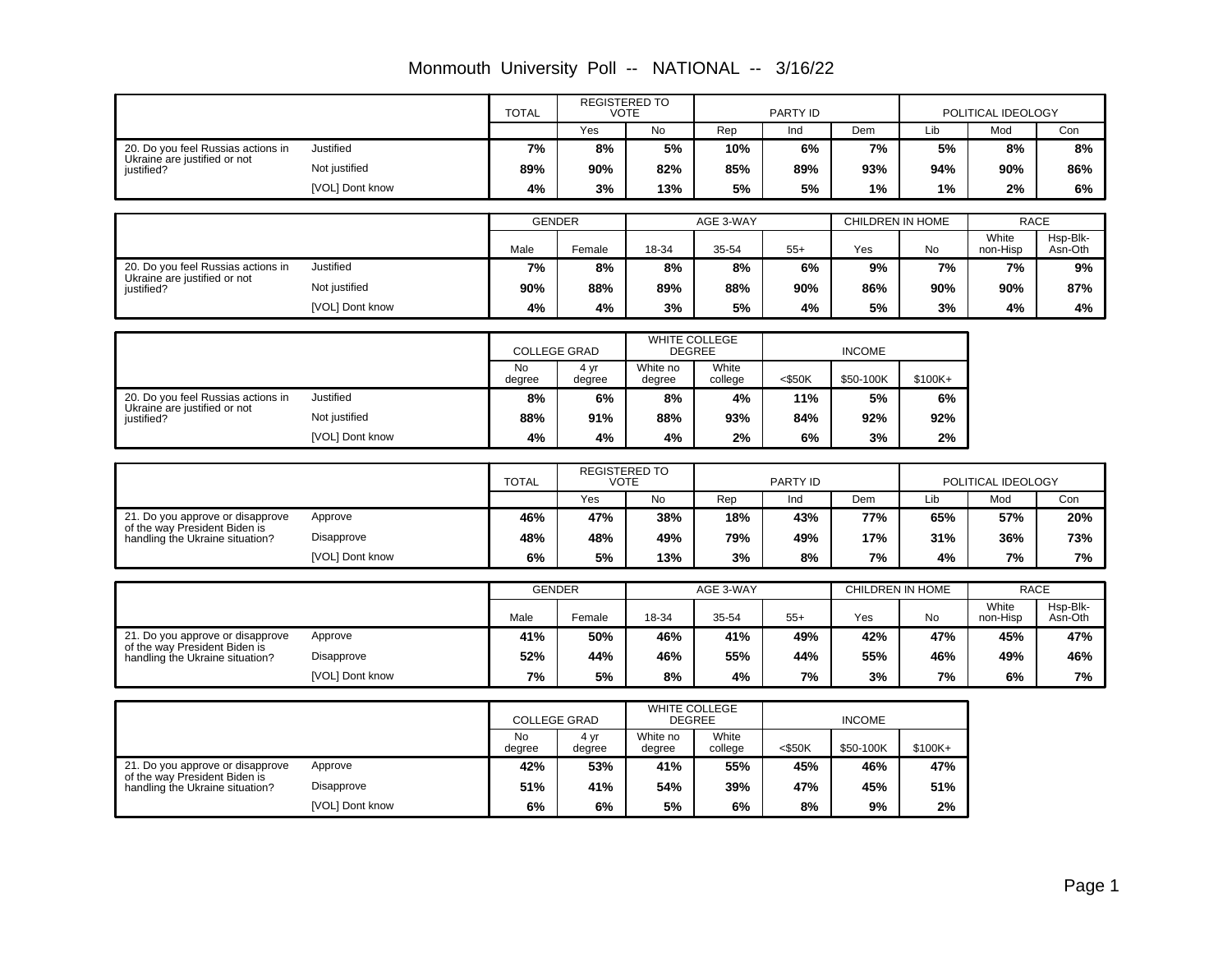|                                                                    |                   | <b>TOTAL</b>                        |                | <b>REGISTERED TO</b><br><b>VOTE</b> |                  | PARTY ID  |                  |         | POLITICAL IDEOLOGY |             |
|--------------------------------------------------------------------|-------------------|-------------------------------------|----------------|-------------------------------------|------------------|-----------|------------------|---------|--------------------|-------------|
|                                                                    |                   |                                     | Yes            | No                                  | Rep              | Ind       | Dem              | Lib     | Mod                | Con         |
| 20. Do you feel Russias actions in<br>Ukraine are justified or not | Justified         | 7%                                  | 8%             | 5%                                  | 10%              | 6%        | 7%               | 5%      | 8%                 | 8%          |
| justified?                                                         | Not justified     | 89%                                 | 90%            | 82%                                 | 85%              | 89%       | 93%              | 94%     | 90%                | 86%         |
|                                                                    | [VOL] Dont know   | 4%                                  | 3%             | 13%                                 | 5%               | 5%        | 1%               | 1%      | 2%                 | 6%          |
|                                                                    |                   | <b>GENDER</b>                       |                |                                     | AGE 3-WAY        |           | CHILDREN IN HOME |         |                    | <b>RACE</b> |
|                                                                    |                   |                                     |                |                                     |                  |           |                  |         | White              | Hsp-Blk-    |
|                                                                    |                   | Male                                | Female         | 18-34                               | 35-54            | $55+$     | Yes              | No      | non-Hisp           | Asn-Oth     |
| 20. Do you feel Russias actions in<br>Ukraine are justified or not | Justified         | 7%                                  | 8%             | 8%                                  | 8%               | 6%        | 9%               | 7%      | 7%                 | 9%          |
| justified?                                                         | Not justified     | 90%                                 | 88%            | 89%                                 | 88%              | 90%       | 86%              | 90%     | 90%                | 87%         |
|                                                                    | [VOL] Dont know   | 4%                                  | 4%             | 3%                                  | 5%               | 4%        | 5%               | 3%      | 4%                 | 4%          |
|                                                                    |                   | <b>COLLEGE GRAD</b>                 |                | <b>DEGREE</b>                       | WHITE COLLEGE    |           | <b>INCOME</b>    |         |                    |             |
|                                                                    |                   | No<br>degree                        | 4 yr<br>degree | White no<br>degree                  | White<br>college | $<$ \$50K | \$50-100K        | \$100K+ |                    |             |
| 20. Do you feel Russias actions in                                 | Justified         | 8%                                  | 6%             | 8%                                  | 4%               | 11%       | 5%               | 6%      |                    |             |
| Ukraine are justified or not<br>iustified?                         | Not justified     | 88%                                 | 91%            | 88%                                 | 93%              | 84%       | 92%              | 92%     |                    |             |
|                                                                    | [VOL] Dont know   | 4%                                  | 4%             | 4%                                  | 2%               | 6%        | 3%               | 2%      |                    |             |
|                                                                    |                   |                                     |                |                                     |                  |           |                  |         |                    |             |
|                                                                    |                   | <b>TOTAL</b>                        | <b>VOTE</b>    | REGISTERED TO                       |                  | PARTY ID  |                  |         | POLITICAL IDEOLOGY |             |
|                                                                    |                   |                                     | Yes            | No                                  | Rep              | Ind       | Dem              | Lib     | Mod                | Con         |
| 21. Do you approve or disapprove<br>of the way President Biden is  | Approve           | 46%                                 | 47%            | 38%                                 | 18%              | 43%       | 77%              | 65%     | 57%                | 20%         |
| handling the Ukraine situation?                                    | <b>Disapprove</b> | 48%                                 | 48%            | 49%                                 | 79%              | 49%       | 17%              | 31%     | 36%                | 73%         |
|                                                                    | [VOL] Dont know   | 6%                                  | 5%             | 13%                                 | 3%               | 8%        | 7%               | 4%      | 7%                 | 7%          |
|                                                                    |                   | <b>GENDER</b>                       |                |                                     | AGE 3-WAY        |           | CHILDREN IN HOME |         |                    | <b>RACE</b> |
|                                                                    |                   |                                     |                |                                     |                  |           |                  |         | White              | Hsp-Blk-    |
|                                                                    |                   | Male                                | Female         | 18-34                               | 35-54            | $55+$     | Yes              | No      | non-Hisp           | Asn-Oth     |
| 21. Do you approve or disapprove<br>of the way President Biden is  | Approve           | 41%                                 | 50%            | 46%                                 | 41%              | 49%       | 42%              | 47%     | 45%                | 47%         |
| handling the Ukraine situation?                                    | Disapprove        | 52%                                 | 44%            | 46%                                 | 55%              | 44%       | 55%              | 46%     | 49%                | 46%         |
|                                                                    |                   |                                     |                |                                     |                  |           |                  |         |                    |             |
|                                                                    | [VOL] Dont know   | 7%                                  | 5%             | 8%                                  | 4%               | 7%        | 3%               | 7%      | 6%                 | 7%          |
|                                                                    |                   |                                     |                | WHITE COLLEGE<br><b>DEGREE</b>      |                  |           | <b>INCOME</b>    |         |                    |             |
|                                                                    |                   | <b>COLLEGE GRAD</b><br>No<br>degree | 4 yr<br>degree | White no<br>degree                  | White<br>college | $<$ \$50K | \$50-100K        | \$100K+ |                    |             |
| 21. Do you approve or disapprove                                   | Approve           | 42%                                 | 53%            | 41%                                 | 55%              | 45%       | 46%              | 47%     |                    |             |
| of the way President Biden is<br>handling the Ukraine situation?   | Disapprove        | 51%                                 | 41%            | 54%                                 | 39%              | 47%       | 45%              | 51%     |                    |             |

Monmouth University Poll -- NATIONAL -- 3/16/22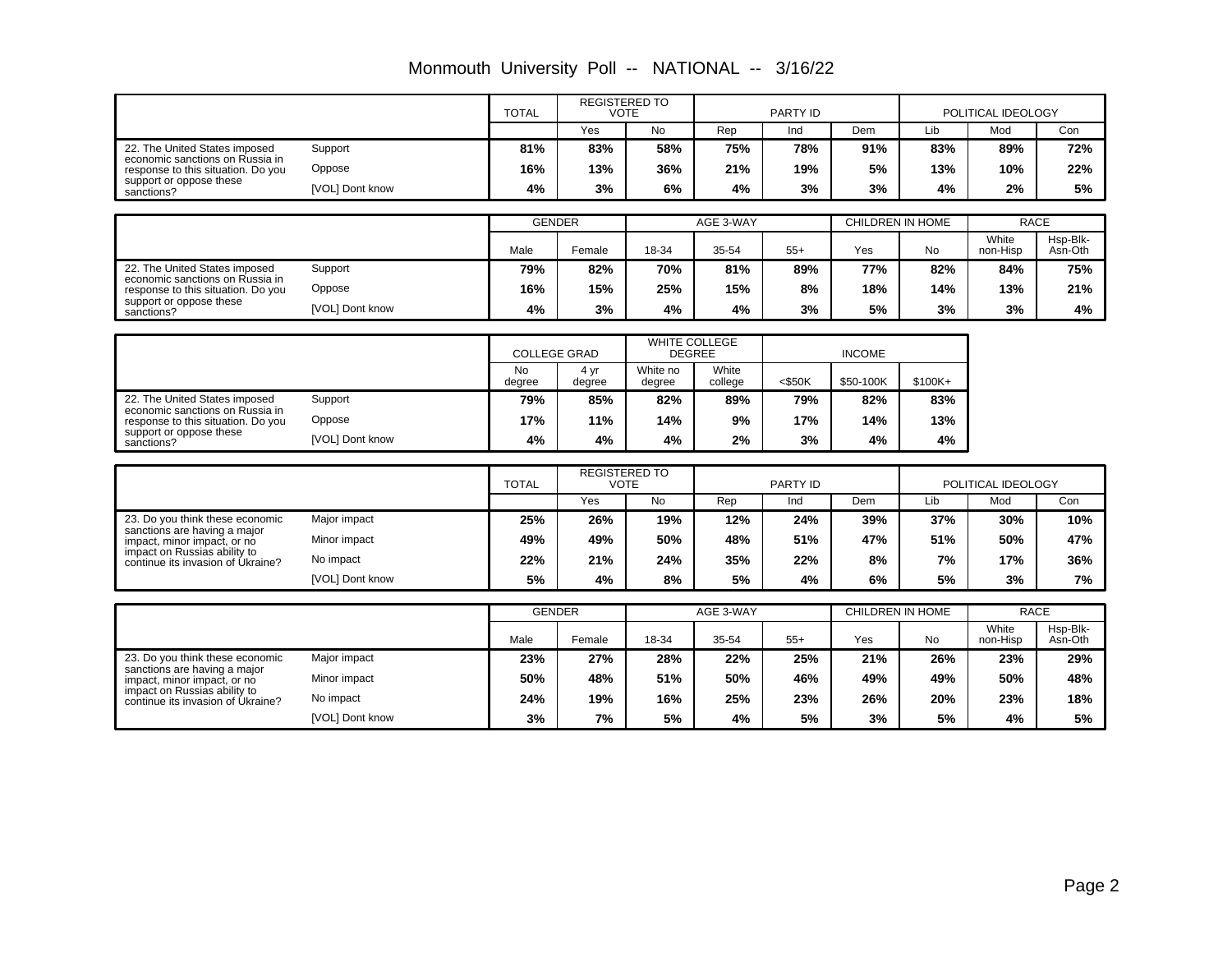|                                                                       |                 | <b>TOTAL</b>        | <b>REGISTERED TO</b><br><b>VOTE</b> |                                     |                  | PARTY ID  |                         | POLITICAL IDEOLOGY |                      |                     |
|-----------------------------------------------------------------------|-----------------|---------------------|-------------------------------------|-------------------------------------|------------------|-----------|-------------------------|--------------------|----------------------|---------------------|
|                                                                       |                 |                     | Yes                                 | <b>No</b>                           | Rep              | Ind       | Dem                     | Lib                | Mod                  | Con                 |
| 22. The United States imposed                                         | Support         | 81%                 | 83%                                 | 58%                                 | 75%              | 78%       | 91%                     | 83%                | 89%                  | 72%                 |
| economic sanctions on Russia in<br>response to this situation. Do you | Oppose          | 16%                 | 13%                                 | 36%                                 | 21%              | 19%       | 5%                      | 13%                | 10%                  | 22%                 |
| support or oppose these<br>sanctions?                                 | [VOL] Dont know | 4%                  | 3%                                  | 6%                                  | 4%               | 3%        | 3%                      | 4%                 | 2%                   | 5%                  |
|                                                                       |                 |                     |                                     |                                     |                  |           |                         |                    |                      |                     |
|                                                                       |                 | <b>GENDER</b>       |                                     |                                     | AGE 3-WAY        |           | <b>CHILDREN IN HOME</b> |                    |                      | <b>RACE</b>         |
|                                                                       |                 | Male                | Female                              | 18-34                               | 35-54            | $55+$     | Yes                     | <b>No</b>          | White<br>non-Hisp    | Hsp-Blk-<br>Asn-Oth |
| 22. The United States imposed                                         | Support         | 79%                 | 82%                                 | 70%                                 | 81%              | 89%       | 77%                     | 82%                | 84%                  | 75%                 |
| economic sanctions on Russia in<br>response to this situation. Do you | Oppose          | 16%                 | 15%                                 | 25%                                 | 15%              | 8%        | 18%                     | 14%                | 13%                  | 21%                 |
| support or oppose these<br>sanctions?                                 | [VOL] Dont know | 4%                  | 3%                                  | 4%                                  | 4%               | 3%        | 5%                      | 3%                 | 3%                   | 4%                  |
|                                                                       |                 |                     |                                     |                                     |                  |           |                         |                    |                      |                     |
|                                                                       |                 | <b>COLLEGE GRAD</b> |                                     | <b>WHITE COLLEGE</b>                | <b>DEGREE</b>    |           | <b>INCOME</b>           |                    |                      |                     |
|                                                                       |                 | <b>No</b><br>degree | 4 yr<br>degree                      | White no<br>degree                  | White<br>college | $<$ \$50K | \$50-100K               | $$100K +$          |                      |                     |
| 22. The United States imposed                                         | Support         | 79%                 | 85%                                 | 82%                                 | 89%              | 79%       | 82%                     | 83%                |                      |                     |
| economic sanctions on Russia in<br>response to this situation. Do you | Oppose          | 17%                 | 11%                                 | 14%                                 | 9%               | 17%       | 14%                     | 13%                |                      |                     |
| support or oppose these<br>sanctions?                                 | [VOL] Dont know | 4%                  | 4%                                  | 4%                                  | 2%               | 3%        | 4%                      | 4%                 |                      |                     |
|                                                                       |                 |                     |                                     |                                     |                  |           |                         |                    |                      |                     |
|                                                                       |                 | <b>TOTAL</b>        |                                     | <b>REGISTERED TO</b><br><b>VOTE</b> |                  | PARTY ID  |                         |                    | POLITICAL IDEOLOGY   |                     |
|                                                                       |                 |                     | Yes                                 | <b>No</b>                           | Rep              | Ind       | Dem                     | Lib                | Mod                  | Con                 |
| 23. Do you think these economic<br>sanctions are having a major       | Major impact    | 25%                 | 26%                                 | 19%                                 | 12%              | 24%       | 39%                     | 37%                | 30%                  | 10%                 |
| impact, minor impact, or no                                           | Minor impact    | 49%                 | 49%                                 | 50%                                 | 48%              | 51%       | 47%                     | 51%                | 50%                  | 47%                 |
| impact on Russias ability to<br>continue its invasion of Ukraine?     | No impact       | 22%                 | 21%                                 | 24%                                 | 35%              | 22%       | 8%                      | 7%                 | 17%                  | 36%                 |
|                                                                       | [VOL] Dont know | 5%                  | 4%                                  | 8%                                  | 5%               | 4%        | 6%                      | 5%                 | 3%                   | 7%                  |
|                                                                       |                 |                     |                                     |                                     |                  |           |                         |                    |                      |                     |
|                                                                       |                 | <b>GENDER</b>       |                                     |                                     | AGE 3-WAY        |           | CHILDREN IN HOME        |                    | <b>RACE</b><br>White | Hsp-Blk-            |
|                                                                       |                 | Male                | Female                              | 18-34                               | 35-54            | $55+$     | Yes                     | <b>No</b>          | non-Hisp             | Asn-Oth             |
| 23. Do you think these economic<br>sanctions are having a major       | Major impact    | 23%                 | 27%                                 | 28%                                 | 22%              | 25%       | 21%                     | 26%                | 23%                  | 29%                 |
| impact, minor impact, or no                                           | Minor impact    | 50%                 | 48%                                 | 51%                                 | 50%              | 46%       | 49%                     | 49%                | 50%                  | 48%                 |
| impact on Russias ability to<br>continue its invasion of Ukraine?     | No impact       | 24%                 | 19%                                 | 16%                                 | 25%              | 23%       | 26%                     | 20%                | 23%                  | 18%                 |
|                                                                       | [VOL] Dont know | 3%                  | 7%                                  | 5%                                  | 4%               | 5%        | 3%                      | 5%                 | 4%                   | 5%                  |

Monmouth University Poll -- NATIONAL -- 3/16/22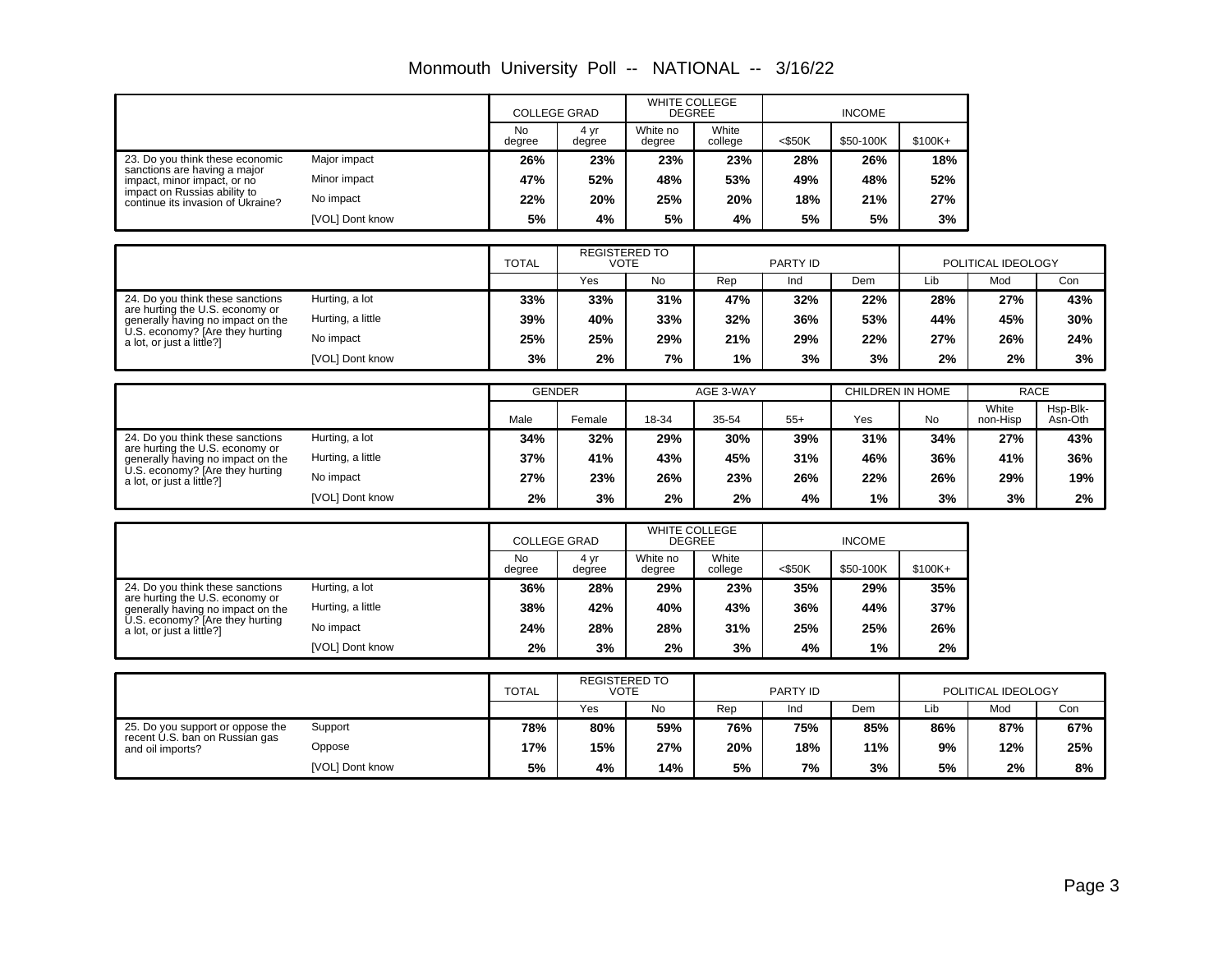| Monmouth University Poll -- NATIONAL -- 3/16/22 |  |  |  |
|-------------------------------------------------|--|--|--|
|-------------------------------------------------|--|--|--|

|                                                                                                |                 | <b>COLLEGE GRAD</b> |                | <b>WHITE COLLEGE</b><br><b>DEGREE</b> |                  |           |           |         |
|------------------------------------------------------------------------------------------------|-----------------|---------------------|----------------|---------------------------------------|------------------|-----------|-----------|---------|
|                                                                                                |                 | <b>No</b><br>dearee | 4 yr<br>degree | White no<br>degree                    | White<br>college | $<$ \$50K | \$50-100K | \$100K+ |
| 23. Do you think these economic<br>sanctions are having a major<br>impact, minor impact, or no | Major impact    | 26%                 | 23%            | 23%                                   | 23%              | 28%       | 26%       | 18%     |
|                                                                                                | Minor impact    | 47%                 | 52%            | 48%                                   | 53%              | 49%       | 48%       | 52%     |
| impact on Russias ability to<br>continue its invasion of Ukraine?                              | No impact       | 22%                 | 20%            | 25%                                   | 20%              | 18%       | 21%       | 27%     |
|                                                                                                | [VOL] Dont know | 5%                  | 4%             | 5%                                    | 4%               | 5%        | 5%        | 3%      |

|                                                                                                                                                                          |                   | <b>TOTAL</b> | <b>REGISTERED TO</b><br>VOTE |           | PARTY ID |     |     | POLITICAL IDEOLOGY |     |     |
|--------------------------------------------------------------------------------------------------------------------------------------------------------------------------|-------------------|--------------|------------------------------|-----------|----------|-----|-----|--------------------|-----|-----|
|                                                                                                                                                                          |                   |              | Yes                          | <b>No</b> | Rep      | Ind | Dem | Lib                | Mod | Con |
| 24. Do you think these sanctions<br>are hurting the U.S. economy or<br>generally having no impact on the<br>U.S. economy? [Are they hurting<br>a lot, or just a little?] | Hurting, a lot    | 33%          | 33%                          | 31%       | 47%      | 32% | 22% | 28%                | 27% | 43% |
|                                                                                                                                                                          | Hurting, a little | 39%          | 40%                          | 33%       | 32%      | 36% | 53% | 44%                | 45% | 30% |
|                                                                                                                                                                          | No impact         | 25%          | 25%                          | 29%       | 21%      | 29% | 22% | 27%                | 26% | 24% |
|                                                                                                                                                                          | [VOL] Dont know   | 3%           | 2%                           | 7%        | 1%       | 3%  | 3%  | 2%                 | 2%  | 3%  |

|                                                                                                                                                                          |                   | <b>GENDER</b> |        | AGE 3-WAY |       |       | CHILDREN IN HOME |           | <b>RACE</b>       |                     |
|--------------------------------------------------------------------------------------------------------------------------------------------------------------------------|-------------------|---------------|--------|-----------|-------|-------|------------------|-----------|-------------------|---------------------|
|                                                                                                                                                                          |                   | Male          | Female | 18-34     | 35-54 | $55+$ | Yes              | <b>No</b> | White<br>non-Hisp | Hsp-Blk-<br>Asn-Oth |
| 24. Do you think these sanctions<br>are hurting the U.S. economy or<br>generally having no impact on the<br>U.S. economy? [Are they hurting<br>a lot, or just a little?] | Hurting, a lot    | 34%           | 32%    | 29%       | 30%   | 39%   | 31%              | 34%       | 27%               | 43%                 |
|                                                                                                                                                                          | Hurting, a little | 37%           | 41%    | 43%       | 45%   | 31%   | 46%              | 36%       | 41%               | 36%                 |
|                                                                                                                                                                          | No impact         | 27%           | 23%    | 26%       | 23%   | 26%   | 22%              | 26%       | 29%               | 19%                 |
|                                                                                                                                                                          | [VOL] Dont know   | 2%            | 3%     | 2%        | 2%    | 4%    | 1%               | 3%        | 3%                | 2%                  |

|                                                                                                                                                                          |                        | <b>COLLEGE GRAD</b> |                | <b>WHITE COLLEGE</b><br><b>DEGREE</b> |                  | <b>INCOME</b> |           |           |
|--------------------------------------------------------------------------------------------------------------------------------------------------------------------------|------------------------|---------------------|----------------|---------------------------------------|------------------|---------------|-----------|-----------|
|                                                                                                                                                                          |                        | No<br>degree        | 4 yr<br>degree | White no<br>degree                    | White<br>college | $<$ \$50K     | \$50-100K | $$100K +$ |
| 24. Do you think these sanctions<br>are hurting the U.S. economy or<br>generally having no impact on the<br>U.S. economy? [Are they hurting<br>a lot, or just a little?] | Hurting, a lot         | 36%                 | 28%            | 29%                                   | 23%              | 35%           | 29%       | 35%       |
|                                                                                                                                                                          | Hurting, a little      | 38%                 | 42%            | 40%                                   | 43%              | 36%           | 44%       | 37%       |
|                                                                                                                                                                          | No impact              | 24%                 | 28%            | 28%                                   | 31%              | 25%           | 25%       | 26%       |
|                                                                                                                                                                          | <b>IVOLI Dont know</b> | 2%                  | 3%             | 2%                                    | 3%               | 4%            | $1\%$     | 2%        |

|                                                    |                 | <b>TOTAL</b> | <b>REGISTERED TO</b><br><b>VOTE</b> |                         | PARTY ID |     |     | POLITICAL IDEOLOGY |     |     |
|----------------------------------------------------|-----------------|--------------|-------------------------------------|-------------------------|----------|-----|-----|--------------------|-----|-----|
|                                                    |                 |              | Yes                                 | No<br>Rep<br>Dem<br>Ind |          |     |     | Lib                | Mod | Con |
| 25. Do you support or oppose the                   | Support         | 78%          | 80%                                 | 59%                     | 76%      | 75% | 85% | 86%                | 87% | 67% |
| recent U.S. ban on Russian gas<br>and oil imports? | Oppose          | 17%          | 15%                                 | 27%                     | 20%      | 18% | 11% | 9%                 | 12% | 25% |
|                                                    | [VOL] Dont know | 5%           | 4%                                  | 14%                     | 5%       | 7%  | 3%  | 5%                 | 2%  | 8%  |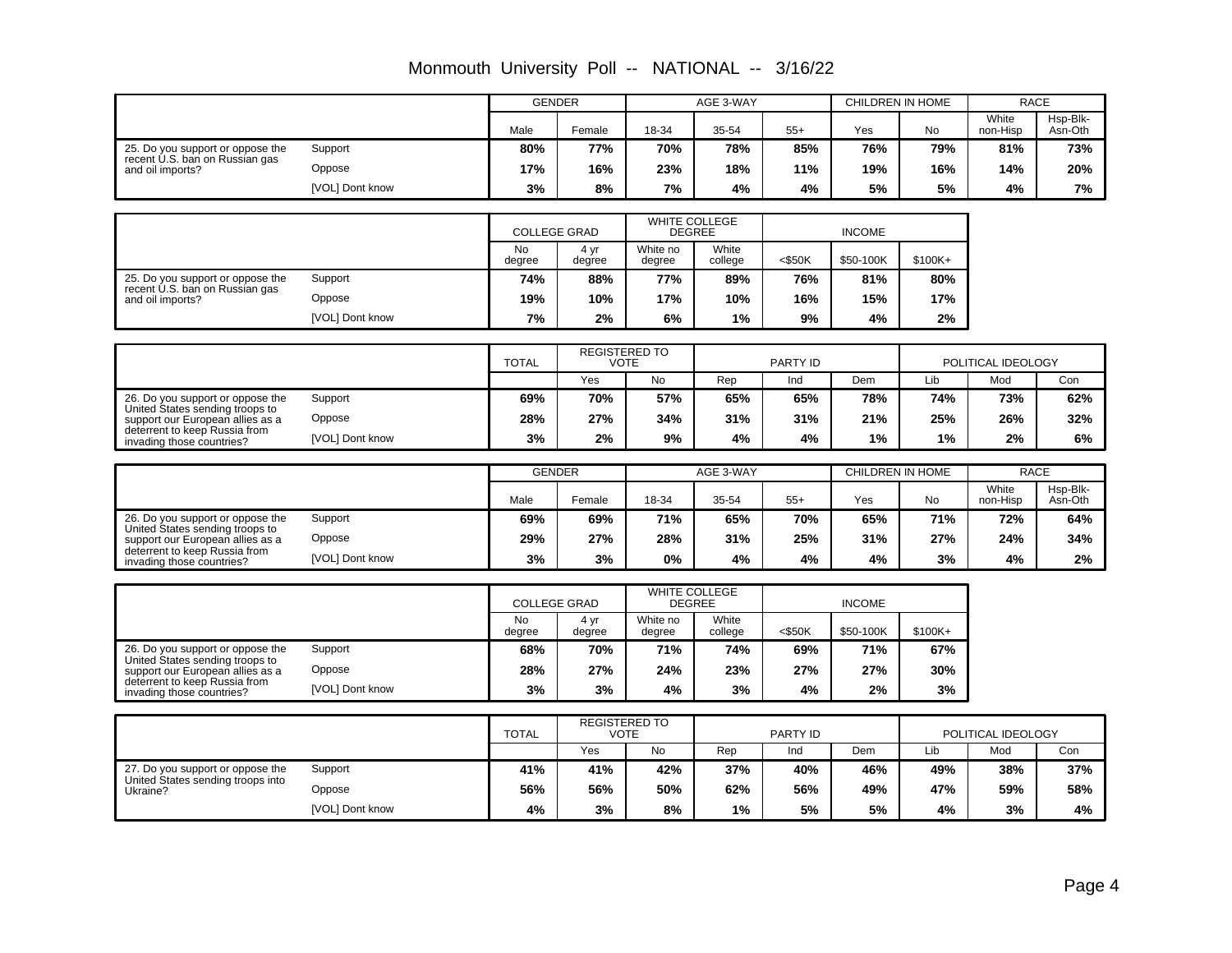|                                                                       |                           | <b>GENDER</b>                    |                      |                      | AGE 3-WAY        |           | CHILDREN IN HOME        |           | <b>RACE</b>        |                     |
|-----------------------------------------------------------------------|---------------------------|----------------------------------|----------------------|----------------------|------------------|-----------|-------------------------|-----------|--------------------|---------------------|
|                                                                       |                           | Male                             | Female               | 18-34                | 35-54            | $55+$     | Yes                     | <b>No</b> | White<br>non-Hisp  | Hsp-Blk-<br>Asn-Oth |
| 25. Do you support or oppose the<br>recent U.S. ban on Russian gas    | Support                   | 80%                              | 77%                  | 70%                  | 78%              | 85%       | 76%                     | 79%       | 81%                | 73%                 |
| and oil imports?                                                      | Oppose                    | 17%                              | 16%                  | 23%                  | 18%              | 11%       | 19%                     | 16%       | 14%                | 20%                 |
|                                                                       | [VOL] Dont know           | 3%                               | 8%                   | 7%                   | 4%               | 4%        | 5%                      | 5%        | 4%                 | 7%                  |
|                                                                       |                           |                                  |                      |                      |                  |           |                         |           |                    |                     |
|                                                                       |                           | <b>COLLEGE GRAD</b>              |                      | <b>DEGREE</b>        | WHITE COLLEGE    |           | <b>INCOME</b>           |           |                    |                     |
|                                                                       |                           | <b>No</b><br>degree              | 4 yr<br>degree       | White no<br>degree   | White<br>college | $<$ \$50K | \$50-100K               | \$100K+   |                    |                     |
| 25. Do you support or oppose the                                      | Support                   | 74%                              | 88%                  | 77%                  | 89%              | 76%       | 81%                     | 80%       |                    |                     |
| recent U.S. ban on Russian gas<br>and oil imports?                    | Oppose                    | 19%                              | 10%                  | 17%                  | 10%              | 16%       | 15%                     | 17%       |                    |                     |
|                                                                       | [VOL] Dont know           | 7%                               | 2%                   | 6%                   | 1%               | 9%        | 4%                      | 2%        |                    |                     |
|                                                                       |                           |                                  |                      |                      |                  |           |                         |           |                    |                     |
|                                                                       |                           | <b>TOTAL</b>                     | <b>VOTE</b>          | <b>REGISTERED TO</b> |                  | PARTY ID  |                         |           | POLITICAL IDEOLOGY |                     |
|                                                                       |                           |                                  | Yes                  | No                   | Rep              | Ind       | Dem                     | Lib       | Mod                | Con                 |
| 26. Do you support or oppose the<br>United States sending troops to   | Support                   | 69%                              | 70%                  | 57%                  | 65%              | 65%       | 78%                     | 74%       | 73%                | 62%                 |
| support our European allies as a                                      | Oppose                    | 28%                              | 27%                  | 34%                  | 31%              | 31%       | 21%                     | 25%       | 26%                | 32%                 |
| deterrent to keep Russia from<br>invading those countries?            | [VOL] Dont know           | 3%                               | 2%                   | 9%                   | 4%               | 4%        | 1%                      | 1%        | 2%                 | 6%                  |
|                                                                       |                           |                                  | <b>GENDER</b>        |                      | AGE 3-WAY        |           | <b>CHILDREN IN HOME</b> |           | <b>RACE</b>        |                     |
|                                                                       |                           |                                  |                      |                      |                  |           |                         |           | White              | Hsp-Blk-            |
|                                                                       |                           | Male                             | Female               | 18-34                | 35-54            | $55+$     | Yes                     | <b>No</b> | non-Hisp           | Asn-Oth             |
| 26. Do you support or oppose the<br>United States sending troops to   | Support                   | 69%                              | 69%                  | 71%                  | 65%              | 70%       | 65%                     | 71%       | 72%                | 64%                 |
| support our European allies as a<br>deterrent to keep Russia from     | Oppose                    | 29%                              | 27%                  | 28%                  | 31%              | 25%       | 31%                     | 27%       | 24%                | 34%                 |
| invading those countries?                                             | [VOL] Dont know           | 3%                               | 3%                   | 0%                   | 4%               | 4%        | 4%                      | 3%        | 4%                 | 2%                  |
|                                                                       |                           |                                  |                      |                      | WHITE COLLEGE    |           |                         |           |                    |                     |
|                                                                       |                           | <b>COLLEGE GRAD</b><br><b>No</b> | 4 yr                 | White no             | DEGREE<br>White  |           | <b>INCOME</b>           |           |                    |                     |
|                                                                       |                           | degree                           | degree               | degree               | college          | $<$ \$50K | \$50-100K               | \$100K+   |                    |                     |
| 26. Do you support or oppose the<br>United States sending troops to   | Support                   | 68%                              | 70%                  | 71%                  | 74%              | 69%       | 71%                     | 67%       |                    |                     |
| support our European allies as a<br>deterrent to keep Russia from     | Oppose                    | 28%                              | 27%                  | 24%                  | 23%              | 27%       | 27%                     | 30%       |                    |                     |
| invading those countries?                                             | [VOL] Dont know           | 3%                               | 3%                   | 4%                   | 3%               | 4%        | 2%                      | 3%        |                    |                     |
|                                                                       |                           |                                  | <b>REGISTERED TO</b> |                      |                  |           |                         |           |                    |                     |
|                                                                       |                           | <b>TOTAL</b>                     | <b>VOTE</b>          |                      |                  | PARTY ID  |                         |           | POLITICAL IDEOLOGY |                     |
|                                                                       |                           |                                  | Yes                  | <b>No</b>            | Rep              | Ind       | Dem                     | Lib       | Mod                | Con                 |
| 27. Do you support or oppose the<br>United States sending troops into | Support                   | 41%                              | 41%                  | 42%                  | 37%              | 40%       | 46%                     | 49%       | 38%                | 37%                 |
|                                                                       |                           | 56%                              | 56%                  | 50%                  | 62%              | 56%       | 49%                     | 47%       | 59%                | 58%                 |
| Ukraine?                                                              | Oppose<br>[VOL] Dont know | 4%                               | 3%                   | 8%                   | 1%               | 5%        | 5%                      | 4%        | 3%                 | 4%                  |

Monmouth University Poll -- NATIONAL -- 3/16/22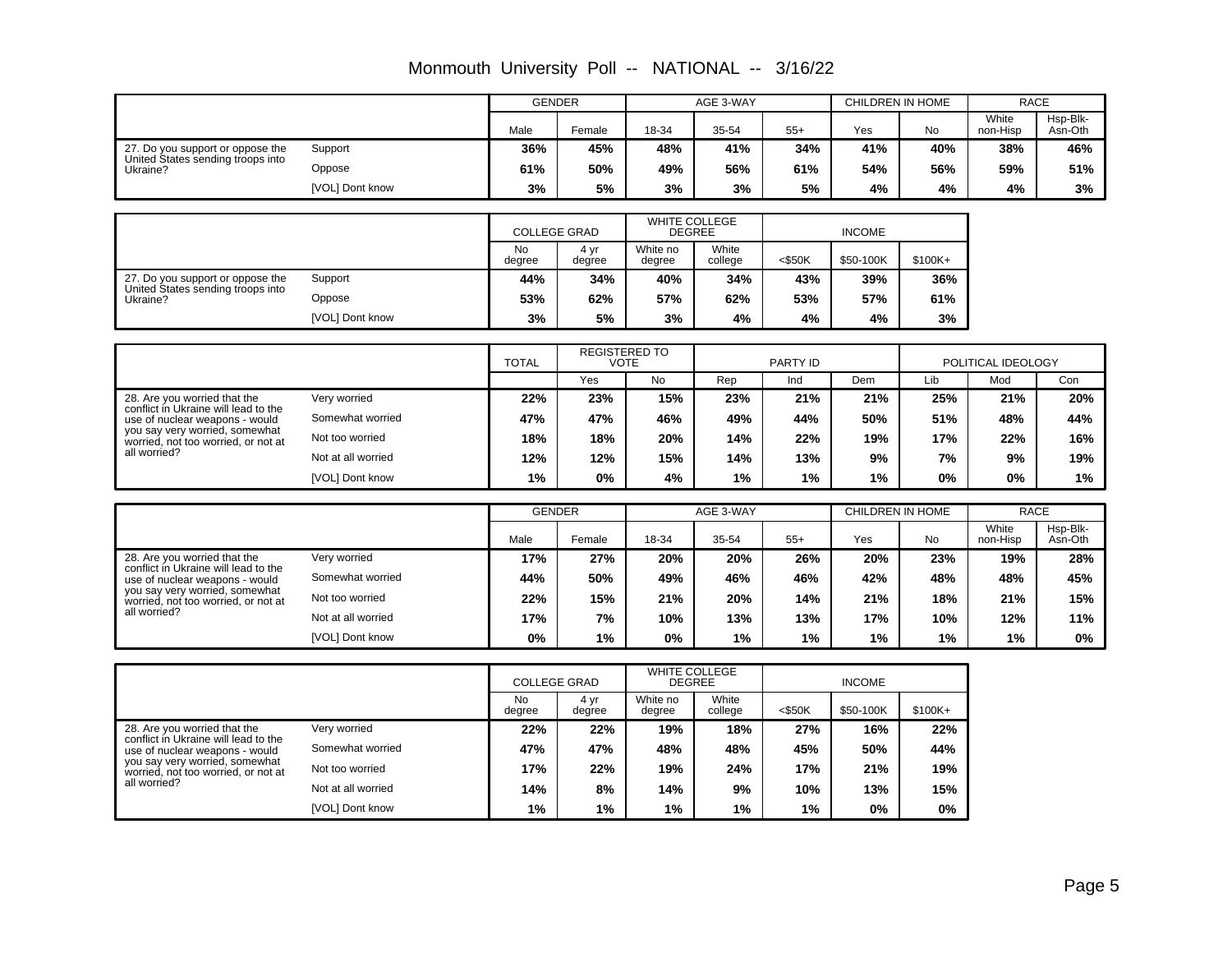|                                                                       |                    |                     | <b>GENDER</b>               |                           | AGE 3-WAY        |           |               | CHILDREN IN HOME |                    | <b>RACE</b>         |
|-----------------------------------------------------------------------|--------------------|---------------------|-----------------------------|---------------------------|------------------|-----------|---------------|------------------|--------------------|---------------------|
|                                                                       |                    | Male                | Female                      | 18-34                     | 35-54            | $55+$     | Yes           | No               | White<br>non-Hisp  | Hsp-Blk-<br>Asn-Oth |
| 27. Do you support or oppose the                                      | Support            | 36%                 | 45%                         | 48%                       | 41%              | 34%       | 41%           | 40%              | 38%                | 46%                 |
| United States sending troops into<br>Ukraine?                         | Oppose             | 61%                 | 50%                         | 49%                       | 56%              | 61%       | 54%           | 56%              | 59%                | 51%                 |
|                                                                       | [VOL] Dont know    | 3%                  | 5%                          | 3%                        | 3%               | 5%        | 4%            | 4%               | 4%                 | 3%                  |
|                                                                       |                    |                     |                             | WHITE COLLEGE             |                  |           |               |                  |                    |                     |
|                                                                       |                    |                     | <b>COLLEGE GRAD</b>         | <b>DEGREE</b>             |                  |           | <b>INCOME</b> |                  |                    |                     |
|                                                                       |                    | <b>No</b><br>degree | 4 yr<br>degree              | White no<br>degree        | White<br>college | $<$ \$50K | \$50-100K     | $$100K+$         |                    |                     |
| 27. Do you support or oppose the                                      | Support            | 44%                 | 34%                         | 40%                       | 34%              | 43%       | 39%           | 36%              |                    |                     |
| United States sending troops into<br>Ukraine?                         | Oppose             | 53%                 | 62%                         | 57%                       | 62%              | 53%       | 57%           | 61%              |                    |                     |
|                                                                       | [VOL] Dont know    | 3%                  | 5%                          | 3%                        | 4%               | 4%        | 4%            | 3%               |                    |                     |
|                                                                       |                    |                     |                             | REGISTERED TO             |                  |           |               |                  |                    |                     |
|                                                                       |                    | <b>TOTAL</b>        |                             | <b>VOTE</b>               |                  | PARTY ID  |               |                  | POLITICAL IDEOLOGY |                     |
|                                                                       |                    |                     | Yes                         | No                        | Rep              | Ind       | Dem           | Lib              | Mod                | Con                 |
| 28. Are you worried that the<br>conflict in Ukraine will lead to the  | Very worried       | 22%                 | 23%                         | 15%                       | 23%              | 21%       | 21%           | 25%              | 21%                | 20%                 |
| use of nuclear weapons - would<br>vou say very worried, somewhat      | Somewhat worried   | 47%                 | 47%                         | 46%                       | 49%              | 44%       | 50%           | 51%              | 48%                | 44%                 |
| worried, not too worried, or not at                                   | Not too worried    | 18%                 | 18%                         | 20%                       | 14%              | 22%       | 19%           | 17%              | 22%                | 16%                 |
| all worried?                                                          | Not at all worried | 12%                 | 12%                         | 15%                       | 14%              | 13%       | 9%            | 7%               | 9%                 | 19%                 |
|                                                                       | [VOL] Dont know    | 1%                  | 0%                          | 4%                        | 1%               | 1%        | 1%            | 0%               | 0%                 | 1%                  |
|                                                                       |                    |                     | <b>GENDER</b>               |                           | AGE 3-WAY        |           |               | CHILDREN IN HOME |                    | <b>RACE</b>         |
|                                                                       |                    |                     |                             |                           |                  |           |               |                  | White              | Hsp-Blk-            |
|                                                                       |                    | Male                | Female                      | 18-34                     | 35-54            | $55+$     | Yes           | No               | non-Hisp           | Asn-Oth             |
| 28. Are you worried that the<br>conflict in Ukraine will lead to the  | Very worried       | 17%                 | 27%                         | 20%                       | 20%              | 26%       | 20%           | 23%              | 19%                | 28%                 |
| use of nuclear weapons - would<br>you say very worried, somewhat      | Somewhat worried   | 44%                 | 50%                         | 49%                       | 46%              | 46%       | 42%           | 48%              | 48%                | 45%                 |
| worried, not too worried, or not at<br>all worried?                   | Not too worried    | 22%                 | 15%                         | 21%                       | 20%              | 14%       | 21%           | 18%              | 21%                | 15%                 |
|                                                                       | Not at all worried | 17%                 | 7%                          | 10%                       | 13%              | 13%       | 17%           | 10%              | 12%                | 11%                 |
|                                                                       | [VOL] Dont know    | 0%                  | 1%                          | 0%                        | 1%               | 1%        | 1%            | 1%               | 1%                 | 0%                  |
|                                                                       |                    |                     |                             | WHITE COLLEGE             |                  |           |               |                  |                    |                     |
|                                                                       |                    | <b>No</b>           | <b>COLLEGE GRAD</b><br>4 yr | <b>DEGREE</b><br>White no | White            |           | <b>INCOME</b> |                  |                    |                     |
|                                                                       |                    | degree              | degree                      | degree                    | college          | $<$ \$50K | \$50-100K     | $$100K+$         |                    |                     |
| 28. Are you worried that the<br>conflict in Ukraine will lead to the  | Very worried       | 22%                 | 22%                         | 19%                       | 18%              | 27%       | 16%           | 22%              |                    |                     |
| use of nuclear weapons - would                                        | Somewhat worried   | 47%                 | 47%                         | 48%                       | 48%              | 45%       | 50%           | 44%              |                    |                     |
| you say very worried, somewhat<br>worried, not too worried, or not at | Not too worried    | 17%                 | 22%                         | 19%                       | 24%              | 17%       | 21%           | 19%              |                    |                     |
| all worried?                                                          | Not at all worried | 14%                 | 8%                          | 14%                       | 9%               | 10%       | 13%           | 15%              |                    |                     |
|                                                                       | [VOL] Dont know    | 1%                  | 1%                          | 1%                        | 1%               | 1%        | 0%            | 0%               |                    |                     |

Monmouth University Poll -- NATIONAL -- 3/16/22